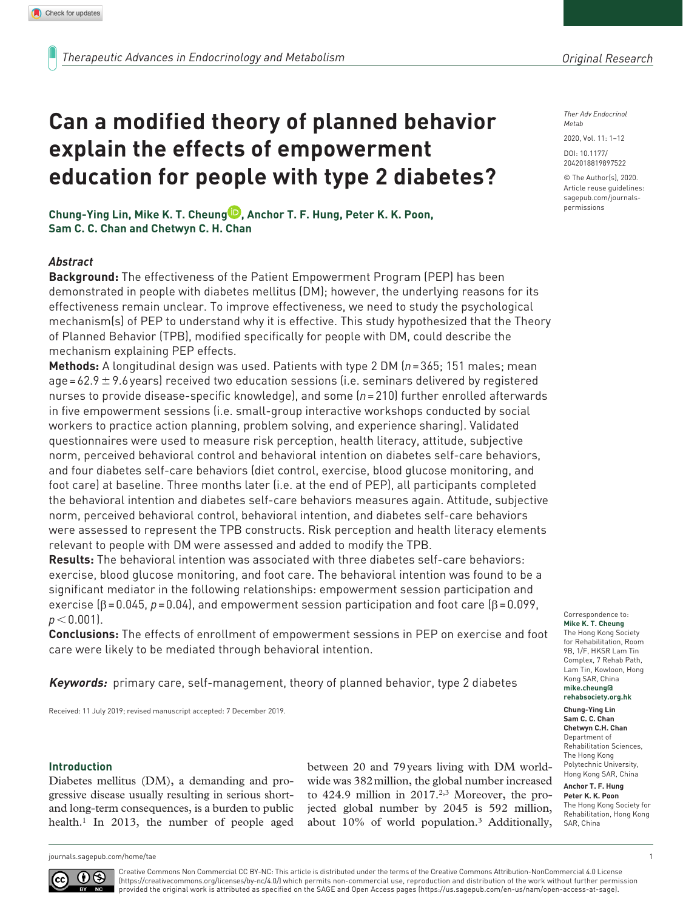*Ther Adv Endocrinol Metab*

2020, Vol. 11: 1–12

DOI: 10.1177/ 2042018819897522

© The Author(s), 2020. Article reuse guidelines: [sagepub.com/journals](https://uk.sagepub.com/en-gb/journals-permissions)[permissions](https://uk.sagepub.com/en-gb/journals-permissions)

**Chung-Ying Lin, Mike K. T. Cheung , Anchor T. F. Hung, Peter K. K. Poon, Sam C. C. Chan and Chetwyn C. H. Chan**

**explain the effects of empowerment** 

**Can a modified theory of planned behavior** 

**education for people with type 2 diabetes?**

## *Abstract*

**Background:** The effectiveness of the Patient Empowerment Program (PEP) has been demonstrated in people with diabetes mellitus (DM); however, the underlying reasons for its effectiveness remain unclear. To improve effectiveness, we need to study the psychological mechanism(s) of PEP to understand why it is effective. This study hypothesized that the Theory of Planned Behavior (TPB), modified specifically for people with DM, could describe the mechanism explaining PEP effects.

**Methods:** A longitudinal design was used. Patients with type 2 DM (*n*=365; 151 males; mean age=62.9  $\pm$  9.6 years) received two education sessions (i.e. seminars delivered by registered nurses to provide disease-specific knowledge), and some (*n*=210) further enrolled afterwards in five empowerment sessions (i.e. small-group interactive workshops conducted by social workers to practice action planning, problem solving, and experience sharing). Validated questionnaires were used to measure risk perception, health literacy, attitude, subjective norm, perceived behavioral control and behavioral intention on diabetes self-care behaviors, and four diabetes self-care behaviors (diet control, exercise, blood glucose monitoring, and foot care) at baseline. Three months later (i.e. at the end of PEP), all participants completed the behavioral intention and diabetes self-care behaviors measures again. Attitude, subjective norm, perceived behavioral control, behavioral intention, and diabetes self-care behaviors were assessed to represent the TPB constructs. Risk perception and health literacy elements relevant to people with DM were assessed and added to modify the TPB.

**Results:** The behavioral intention was associated with three diabetes self-care behaviors: exercise, blood glucose monitoring, and foot care. The behavioral intention was found to be a significant mediator in the following relationships: empowerment session participation and exercise  $(\beta = 0.045, p = 0.04)$ , and empowerment session participation and foot care  $(\beta = 0.099, p = 0.099)$  $p < 0.001$ ).

**Conclusions:** The effects of enrollment of empowerment sessions in PEP on exercise and foot care were likely to be mediated through behavioral intention.

**Keywords:** primary care, self-management, theory of planned behavior, type 2 diabetes

Received: 11 July 2019; revised manuscript accepted: 7 December 2019.

#### **Introduction**

Diabetes mellitus (DM), a demanding and progressive disease usually resulting in serious shortand long-term consequences, is a burden to public health.<sup>1</sup> In 2013, the number of people aged between 20 and 79years living with DM worldwide was 382million, the global number increased to 424.9 million in 2017.2,3 Moreover, the projected global number by 2045 is 592 million, about 10% of world population.3 Additionally,

#### Correspondence to: **Mike K. T. Cheung** The Hong Kong Society for Rehabilitation, Room 9B, 1/F, HKSR Lam Tin Complex, 7 Rehab Path, Lam Tin, Kowloon, Hong Kong SAR, China **[mike.cheung@](mailto:mike.cheung@rehabsociety.org.hk) [rehabsociety.org.hk](mailto:mike.cheung@rehabsociety.org.hk)**

**Chung-Ying Lin Sam C. C. Chan Chetwyn C.H. Chan** Department of Rehabilitation Sciences, The Hong Kong Polytechnic University, Hong Kong SAR, China

**Anchor T. F. Hung Peter K. K. Poon** The Hong Kong Society for Rehabilitation, Hong Kong SAR, China

[journals.sagepub.com/home/tae](https://journals.sagepub.com/home/tae) 1



Creative Commons Non Commercial CC BY-NC: This article is distributed under the terms of the Creative Commons Attribution-NonCommercial 4.0 License (https://creativecommons.org/licenses/by-nc/4.0/) which permits non-commercial use, reproduction and distribution of the work without further permission provided the original work is attributed as specified on the SAGE and Open Access pages (https://us.sagepub.com/en-us/nam/open-access-at-sage).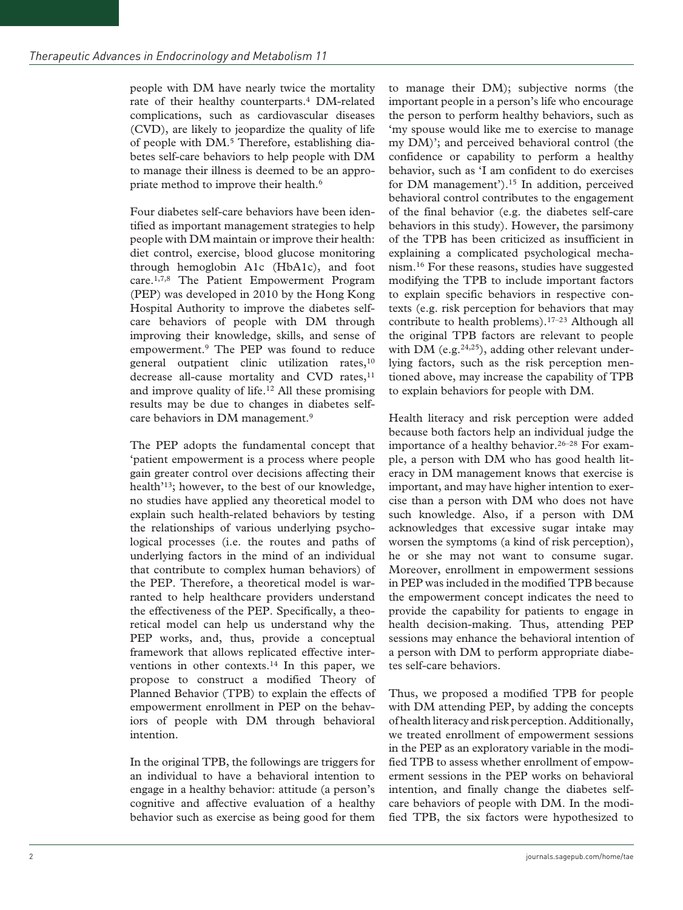people with DM have nearly twice the mortality rate of their healthy counterparts.4 DM-related complications, such as cardiovascular diseases (CVD), are likely to jeopardize the quality of life of people with DM.5 Therefore, establishing diabetes self-care behaviors to help people with DM to manage their illness is deemed to be an appropriate method to improve their health.<sup>6</sup>

Four diabetes self-care behaviors have been identified as important management strategies to help people with DM maintain or improve their health: diet control, exercise, blood glucose monitoring through hemoglobin A1c (HbA1c), and foot care.1,7,8 The Patient Empowerment Program (PEP) was developed in 2010 by the Hong Kong Hospital Authority to improve the diabetes selfcare behaviors of people with DM through improving their knowledge, skills, and sense of empowerment.9 The PEP was found to reduce general outpatient clinic utilization rates,<sup>10</sup> decrease all-cause mortality and CVD rates,<sup>11</sup> and improve quality of life.<sup>12</sup> All these promising results may be due to changes in diabetes selfcare behaviors in DM management.9

The PEP adopts the fundamental concept that 'patient empowerment is a process where people gain greater control over decisions affecting their health'13; however, to the best of our knowledge, no studies have applied any theoretical model to explain such health-related behaviors by testing the relationships of various underlying psychological processes (i.e. the routes and paths of underlying factors in the mind of an individual that contribute to complex human behaviors) of the PEP. Therefore, a theoretical model is warranted to help healthcare providers understand the effectiveness of the PEP. Specifically, a theoretical model can help us understand why the PEP works, and, thus, provide a conceptual framework that allows replicated effective interventions in other contexts.14 In this paper, we propose to construct a modified Theory of Planned Behavior (TPB) to explain the effects of empowerment enrollment in PEP on the behaviors of people with DM through behavioral intention.

In the original TPB, the followings are triggers for an individual to have a behavioral intention to engage in a healthy behavior: attitude (a person's cognitive and affective evaluation of a healthy behavior such as exercise as being good for them to manage their DM); subjective norms (the important people in a person's life who encourage the person to perform healthy behaviors, such as 'my spouse would like me to exercise to manage my DM)'; and perceived behavioral control (the confidence or capability to perform a healthy behavior, such as 'I am confident to do exercises for DM management').<sup>15</sup> In addition, perceived behavioral control contributes to the engagement of the final behavior (e.g. the diabetes self-care behaviors in this study). However, the parsimony of the TPB has been criticized as insufficient in explaining a complicated psychological mechanism.16 For these reasons, studies have suggested modifying the TPB to include important factors to explain specific behaviors in respective contexts (e.g. risk perception for behaviors that may contribute to health problems).17–23 Although all the original TPB factors are relevant to people with DM (e.g. $24,25$ ), adding other relevant underlying factors, such as the risk perception mentioned above, may increase the capability of TPB to explain behaviors for people with DM.

Health literacy and risk perception were added because both factors help an individual judge the importance of a healthy behavior.26–28 For example, a person with DM who has good health literacy in DM management knows that exercise is important, and may have higher intention to exercise than a person with DM who does not have such knowledge. Also, if a person with DM acknowledges that excessive sugar intake may worsen the symptoms (a kind of risk perception), he or she may not want to consume sugar. Moreover, enrollment in empowerment sessions in PEP was included in the modified TPB because the empowerment concept indicates the need to provide the capability for patients to engage in health decision-making. Thus, attending PEP sessions may enhance the behavioral intention of a person with DM to perform appropriate diabetes self-care behaviors.

Thus, we proposed a modified TPB for people with DM attending PEP, by adding the concepts of health literacy and risk perception. Additionally, we treated enrollment of empowerment sessions in the PEP as an exploratory variable in the modified TPB to assess whether enrollment of empowerment sessions in the PEP works on behavioral intention, and finally change the diabetes selfcare behaviors of people with DM. In the modified TPB, the six factors were hypothesized to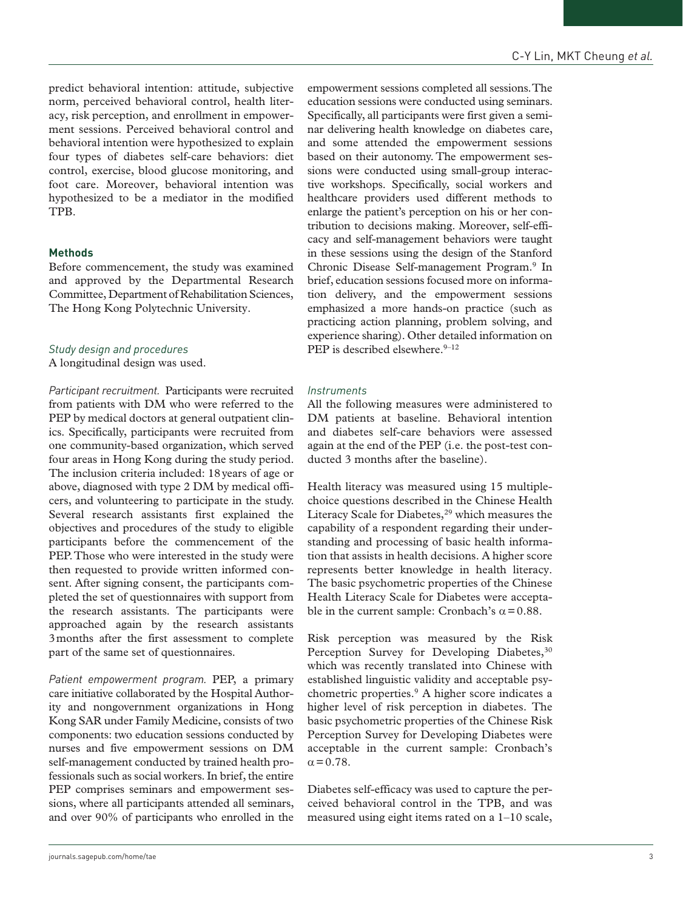predict behavioral intention: attitude, subjective norm, perceived behavioral control, health literacy, risk perception, and enrollment in empowerment sessions. Perceived behavioral control and behavioral intention were hypothesized to explain four types of diabetes self-care behaviors: diet control, exercise, blood glucose monitoring, and foot care. Moreover, behavioral intention was hypothesized to be a mediator in the modified TPB.

### **Methods**

Before commencement, the study was examined and approved by the Departmental Research Committee, Department of Rehabilitation Sciences, The Hong Kong Polytechnic University.

## *Study design and procedures*

A longitudinal design was used.

*Participant recruitment.* Participants were recruited from patients with DM who were referred to the PEP by medical doctors at general outpatient clinics. Specifically, participants were recruited from one community-based organization, which served four areas in Hong Kong during the study period. The inclusion criteria included: 18years of age or above, diagnosed with type 2 DM by medical officers, and volunteering to participate in the study. Several research assistants first explained the objectives and procedures of the study to eligible participants before the commencement of the PEP. Those who were interested in the study were then requested to provide written informed consent. After signing consent, the participants completed the set of questionnaires with support from the research assistants. The participants were approached again by the research assistants 3months after the first assessment to complete part of the same set of questionnaires.

*Patient empowerment program.* PEP, a primary care initiative collaborated by the Hospital Authority and nongovernment organizations in Hong Kong SAR under Family Medicine, consists of two components: two education sessions conducted by nurses and five empowerment sessions on DM self-management conducted by trained health professionals such as social workers. In brief, the entire PEP comprises seminars and empowerment sessions, where all participants attended all seminars, and over 90% of participants who enrolled in the

empowerment sessions completed all sessions. The education sessions were conducted using seminars. Specifically, all participants were first given a seminar delivering health knowledge on diabetes care, and some attended the empowerment sessions based on their autonomy. The empowerment sessions were conducted using small-group interactive workshops. Specifically, social workers and healthcare providers used different methods to enlarge the patient's perception on his or her contribution to decisions making. Moreover, self-efficacy and self-management behaviors were taught in these sessions using the design of the Stanford Chronic Disease Self-management Program.9 In brief, education sessions focused more on information delivery, and the empowerment sessions emphasized a more hands-on practice (such as practicing action planning, problem solving, and experience sharing). Other detailed information on PEP is described elsewhere. $9-12$ 

### *Instruments*

All the following measures were administered to DM patients at baseline. Behavioral intention and diabetes self-care behaviors were assessed again at the end of the PEP (i.e. the post-test conducted 3 months after the baseline).

Health literacy was measured using 15 multiplechoice questions described in the Chinese Health Literacy Scale for Diabetes,<sup>29</sup> which measures the capability of a respondent regarding their understanding and processing of basic health information that assists in health decisions. A higher score represents better knowledge in health literacy. The basic psychometric properties of the Chinese Health Literacy Scale for Diabetes were acceptable in the current sample: Cronbach's  $\alpha$  = 0.88.

Risk perception was measured by the Risk Perception Survey for Developing Diabetes,<sup>30</sup> which was recently translated into Chinese with established linguistic validity and acceptable psychometric properties.9 A higher score indicates a higher level of risk perception in diabetes. The basic psychometric properties of the Chinese Risk Perception Survey for Developing Diabetes were acceptable in the current sample: Cronbach's  $\alpha = 0.78.$ 

Diabetes self-efficacy was used to capture the perceived behavioral control in the TPB, and was measured using eight items rated on a 1–10 scale,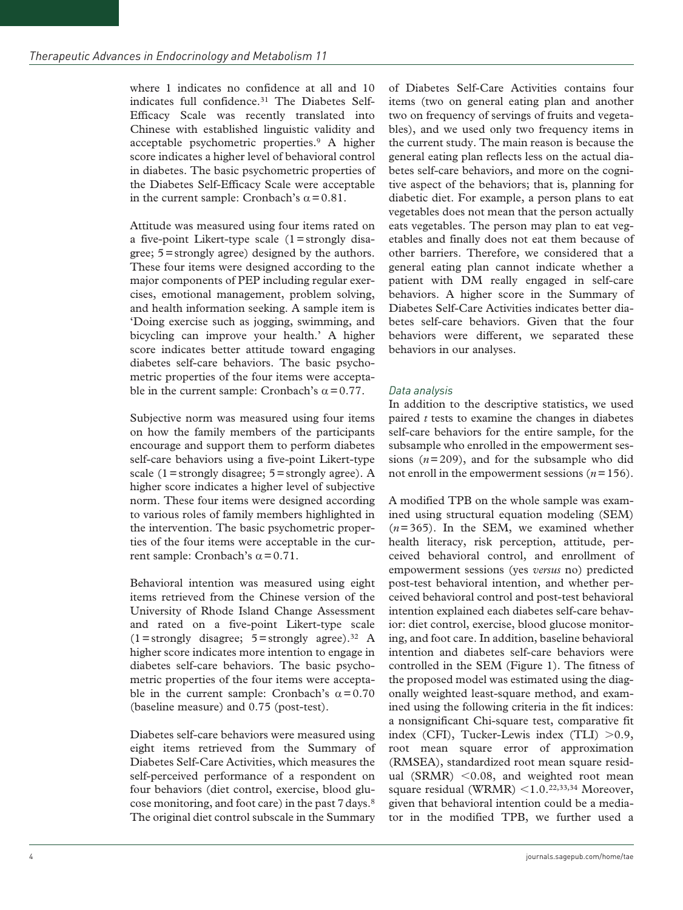where 1 indicates no confidence at all and 10 indicates full confidence.<sup>31</sup> The Diabetes Self-Efficacy Scale was recently translated into Chinese with established linguistic validity and acceptable psychometric properties.9 A higher score indicates a higher level of behavioral control in diabetes. The basic psychometric properties of the Diabetes Self-Efficacy Scale were acceptable in the current sample: Cronbach's  $\alpha$  = 0.81.

Attitude was measured using four items rated on a five-point Likert-type scale (1=strongly disagree; 5=strongly agree) designed by the authors. These four items were designed according to the major components of PEP including regular exercises, emotional management, problem solving, and health information seeking. A sample item is 'Doing exercise such as jogging, swimming, and bicycling can improve your health.' A higher score indicates better attitude toward engaging diabetes self-care behaviors. The basic psychometric properties of the four items were acceptable in the current sample: Cronbach's  $\alpha$  = 0.77.

Subjective norm was measured using four items on how the family members of the participants encourage and support them to perform diabetes self-care behaviors using a five-point Likert-type scale (1=strongly disagree;  $5$ =strongly agree). A higher score indicates a higher level of subjective norm. These four items were designed according to various roles of family members highlighted in the intervention. The basic psychometric properties of the four items were acceptable in the current sample: Cronbach's  $\alpha$  = 0.71.

Behavioral intention was measured using eight items retrieved from the Chinese version of the University of Rhode Island Change Assessment and rated on a five-point Likert-type scale  $(1=$ strongly disagree; 5 = strongly agree).<sup>32</sup> A higher score indicates more intention to engage in diabetes self-care behaviors. The basic psychometric properties of the four items were acceptable in the current sample: Cronbach's  $\alpha$ =0.70 (baseline measure) and 0.75 (post-test).

Diabetes self-care behaviors were measured using eight items retrieved from the Summary of Diabetes Self-Care Activities, which measures the self-perceived performance of a respondent on four behaviors (diet control, exercise, blood glucose monitoring, and foot care) in the past 7days.8 The original diet control subscale in the Summary of Diabetes Self-Care Activities contains four items (two on general eating plan and another two on frequency of servings of fruits and vegetables), and we used only two frequency items in the current study. The main reason is because the general eating plan reflects less on the actual diabetes self-care behaviors, and more on the cognitive aspect of the behaviors; that is, planning for diabetic diet. For example, a person plans to eat vegetables does not mean that the person actually eats vegetables. The person may plan to eat vegetables and finally does not eat them because of other barriers. Therefore, we considered that a general eating plan cannot indicate whether a patient with DM really engaged in self-care behaviors. A higher score in the Summary of Diabetes Self-Care Activities indicates better diabetes self-care behaviors. Given that the four behaviors were different, we separated these behaviors in our analyses.

## *Data analysis*

In addition to the descriptive statistics, we used paired *t* tests to examine the changes in diabetes self-care behaviors for the entire sample, for the subsample who enrolled in the empowerment sessions  $(n=209)$ , and for the subsample who did not enroll in the empowerment sessions (*n*=156).

A modified TPB on the whole sample was examined using structural equation modeling (SEM) (*n*=365). In the SEM, we examined whether health literacy, risk perception, attitude, perceived behavioral control, and enrollment of empowerment sessions (yes *versus* no) predicted post-test behavioral intention, and whether perceived behavioral control and post-test behavioral intention explained each diabetes self-care behavior: diet control, exercise, blood glucose monitoring, and foot care. In addition, baseline behavioral intention and diabetes self-care behaviors were controlled in the SEM (Figure 1). The fitness of the proposed model was estimated using the diagonally weighted least-square method, and examined using the following criteria in the fit indices: a nonsignificant Chi-square test, comparative fit index (CFI), Tucker-Lewis index (TLI) >0.9, root mean square error of approximation (RMSEA), standardized root mean square residual (SRMR)  $< 0.08$ , and weighted root mean square residual (WRMR)  $\leq 1.0$ .<sup>22,33,34</sup> Moreover, given that behavioral intention could be a mediator in the modified TPB, we further used a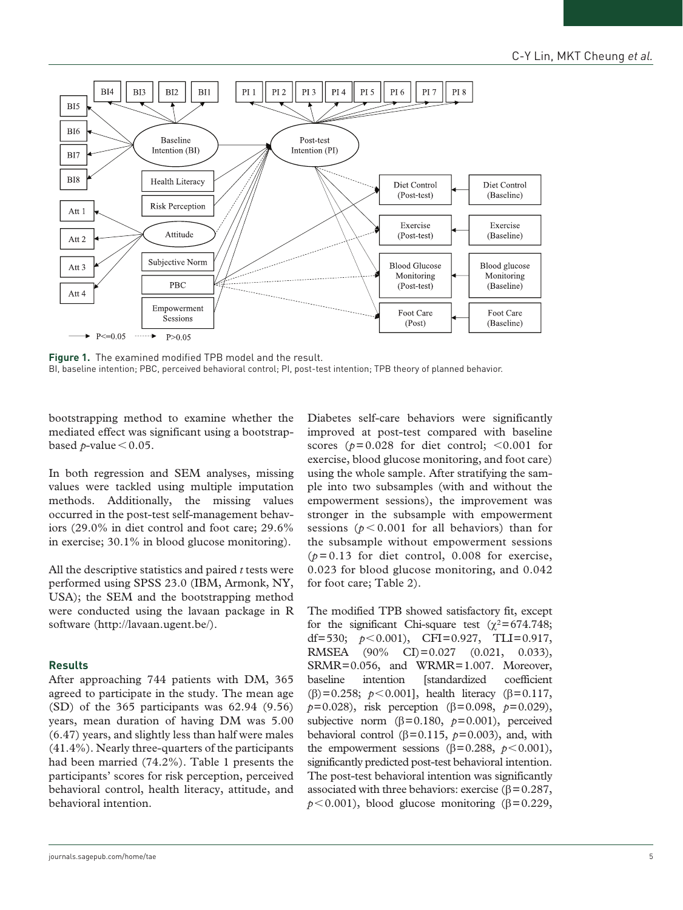

**Figure 1.** The examined modified TPB model and the result. BI, baseline intention; PBC, perceived behavioral control; PI, post-test intention; TPB theory of planned behavior.

bootstrapping method to examine whether the mediated effect was significant using a bootstrapbased  $p$ -value  $\leq 0.05$ .

In both regression and SEM analyses, missing values were tackled using multiple imputation methods. Additionally, the missing values occurred in the post-test self-management behaviors (29.0% in diet control and foot care; 29.6% in exercise; 30.1% in blood glucose monitoring).

All the descriptive statistics and paired *t* tests were performed using SPSS 23.0 (IBM, Armonk, NY, USA); the SEM and the bootstrapping method were conducted using the lavaan package in R software [\(http://lavaan.ugent.be/\)](http://lavaan.ugent.be/).

## **Results**

After approaching 744 patients with DM, 365 agreed to participate in the study. The mean age (SD) of the 365 participants was 62.94 (9.56) years, mean duration of having DM was 5.00 (6.47) years, and slightly less than half were males (41.4%). Nearly three-quarters of the participants had been married (74.2%). Table 1 presents the participants' scores for risk perception, perceived behavioral control, health literacy, attitude, and behavioral intention.

Diabetes self-care behaviors were significantly improved at post-test compared with baseline scores ( $p=0.028$  for diet control;  $\leq 0.001$  for exercise, blood glucose monitoring, and foot care) using the whole sample. After stratifying the sample into two subsamples (with and without the empowerment sessions), the improvement was stronger in the subsample with empowerment sessions ( $p < 0.001$  for all behaviors) than for the subsample without empowerment sessions  $(p=0.13$  for diet control, 0.008 for exercise, 0.023 for blood glucose monitoring, and 0.042 for foot care; Table 2).

The modified TPB showed satisfactory fit, except for the significant Chi-square test ( $\chi^2$ =674.748; df=530; *p*<0.001), CFI=0.927, TLI=0.917, RMSEA (90% CI)=0.027 (0.021, 0.033), SRMR=0.056, and WRMR=1.007. Moreover, baseline intention [standardized coefficient (β)=0.258; *p*<0.001], health literacy (β=0.117, *p*=0.028), risk perception (β=0.098, *p*=0.029), subjective norm  $(\beta = 0.180, p = 0.001)$ , perceived behavioral control ( $\beta$ =0.115,  $p$ =0.003), and, with the empowerment sessions ( $\beta$ =0.288,  $p$  < 0.001), significantly predicted post-test behavioral intention. The post-test behavioral intention was significantly associated with three behaviors: exercise ( $\beta$  = 0.287,  $p < 0.001$ ), blood glucose monitoring ( $\beta = 0.229$ ,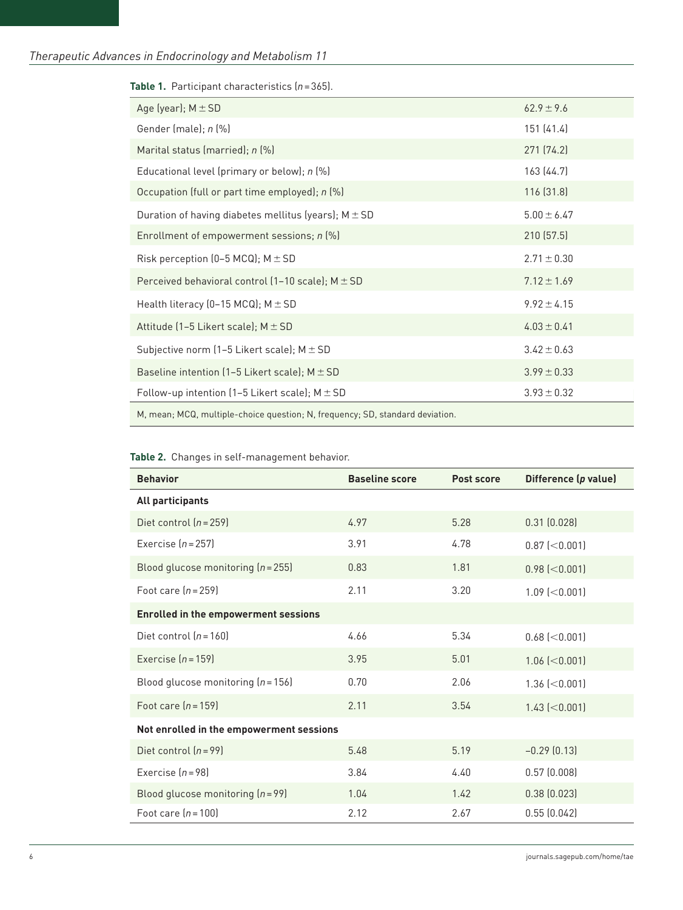| <b>Die</b> 11 1 anticipant characteristics ( <i>n</i> – 000).                 |                 |  |  |
|-------------------------------------------------------------------------------|-----------------|--|--|
| Age (year); $M \pm SD$                                                        | $62.9 \pm 9.6$  |  |  |
| Gender (male); n (%)                                                          | 151 (41.4)      |  |  |
| Marital status (married); n (%)                                               | 271 (74.2)      |  |  |
| Educational level (primary or below); n (%)                                   | 163 (44.7)      |  |  |
| Occupation (full or part time employed); n (%)                                | 116 (31.8)      |  |  |
| Duration of having diabetes mellitus (years); $M \pm SD$                      | $5.00 \pm 6.47$ |  |  |
| Enrollment of empowerment sessions; n (%)                                     | 210 (57.5)      |  |  |
| Risk perception (0-5 MCQ); $M \pm SD$                                         | $2.71 \pm 0.30$ |  |  |
| Perceived behavioral control (1-10 scale); $M \pm SD$                         | $7.12 \pm 1.69$ |  |  |
| Health literacy (0-15 MCQ); $M \pm SD$                                        | $9.92 \pm 4.15$ |  |  |
| Attitude (1-5 Likert scale); $M \pm SD$                                       | $4.03 \pm 0.41$ |  |  |
| Subjective norm (1-5 Likert scale); $M \pm SD$                                | $3.42 \pm 0.63$ |  |  |
| Baseline intention (1-5 Likert scale); $M \pm SD$                             | $3.99 \pm 0.33$ |  |  |
| Follow-up intention (1-5 Likert scale); $M \pm SD$                            | $3.93 \pm 0.32$ |  |  |
| M, mean; MCQ, multiple-choice question; N, frequency; SD, standard deviation. |                 |  |  |

### **Table 1.** Participant characteristics (*n*=365).

# **Table 2.** Changes in self-management behavior.

| <b>Behavior</b>                             | <b>Baseline score</b> | Post score | Difference (p value) |  |  |  |
|---------------------------------------------|-----------------------|------------|----------------------|--|--|--|
| All participants                            |                       |            |                      |  |  |  |
| Diet control $(n=259)$                      | 4.97                  | 5.28       | 0.31(0.028)          |  |  |  |
| Exercise $[n=257]$                          | 3.91                  | 4.78       | $0.87$ (<0.001)      |  |  |  |
| Blood glucose monitoring $(n=255)$          | 0.83                  | 1.81       | $0.98$ (< $0.001$ )  |  |  |  |
| Foot care $[n=259]$                         | 2.11                  | 3.20       | $1.09$ (<0.001)      |  |  |  |
| <b>Enrolled in the empowerment sessions</b> |                       |            |                      |  |  |  |
| Diet control $[n=160]$                      | 4.66                  | 5.34       | $0.68$ ( $<$ 0.001)  |  |  |  |
| Exercise $[n=159]$                          | 3.95                  | 5.01       | $1.06$ ( $<$ 0.001)  |  |  |  |
| Blood glucose monitoring $(n = 156)$        | 0.70                  | 2.06       | $1.36$ (<0.001)      |  |  |  |
| Foot care $[n=159]$                         | 2.11                  | 3.54       | $1.43$ (<0.001)      |  |  |  |
| Not enrolled in the empowerment sessions    |                       |            |                      |  |  |  |
| Diet control $(n=99)$                       | 5.48                  | 5.19       | $-0.29(0.13)$        |  |  |  |
| Exercise $[n=98]$                           | 3.84                  | 4.40       | 0.57(0.008)          |  |  |  |
| Blood glucose monitoring $(n = 99)$         | 1.04                  | 1.42       | 0.38(0.023)          |  |  |  |
| Foot care $(n=100)$                         | 2.12                  | 2.67       | 0.55(0.042)          |  |  |  |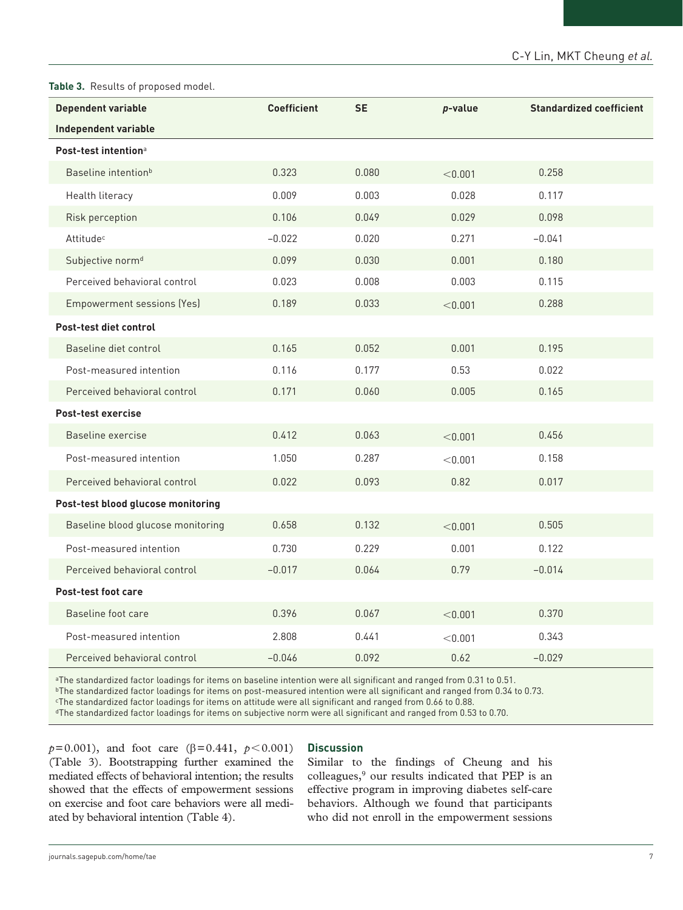### **Table 3.** Results of proposed model.

| <b>Dependent variable</b>          | <b>Coefficient</b> | <b>SE</b> | p-value | <b>Standardized coefficient</b> |  |
|------------------------------------|--------------------|-----------|---------|---------------------------------|--|
| <b>Independent variable</b>        |                    |           |         |                                 |  |
| Post-test intention <sup>a</sup>   |                    |           |         |                                 |  |
| Baseline intention <sup>b</sup>    | 0.323              | 0.080     | < 0.001 | 0.258                           |  |
| Health literacy                    | 0.009              | 0.003     | 0.028   | 0.117                           |  |
| Risk perception                    | 0.106              | 0.049     | 0.029   | 0.098                           |  |
| Attitudec                          | $-0.022$           | 0.020     | 0.271   | $-0.041$                        |  |
| Subjective norm <sup>d</sup>       | 0.099              | 0.030     | 0.001   | 0.180                           |  |
| Perceived behavioral control       | 0.023              | 0.008     | 0.003   | 0.115                           |  |
| Empowerment sessions (Yes)         | 0.189              | 0.033     | < 0.001 | 0.288                           |  |
| Post-test diet control             |                    |           |         |                                 |  |
| Baseline diet control              | 0.165              | 0.052     | 0.001   | 0.195                           |  |
| Post-measured intention            | 0.116              | 0.177     | 0.53    | 0.022                           |  |
| Perceived behavioral control       | 0.171              | 0.060     | 0.005   | 0.165                           |  |
| Post-test exercise                 |                    |           |         |                                 |  |
| Baseline exercise                  | 0.412              | 0.063     | < 0.001 | 0.456                           |  |
| Post-measured intention            | 1.050              | 0.287     | < 0.001 | 0.158                           |  |
| Perceived behavioral control       | 0.022              | 0.093     | 0.82    | 0.017                           |  |
| Post-test blood glucose monitoring |                    |           |         |                                 |  |
| Baseline blood glucose monitoring  | 0.658              | 0.132     | < 0.001 | 0.505                           |  |
| Post-measured intention            | 0.730              | 0.229     | 0.001   | 0.122                           |  |
| Perceived behavioral control       | $-0.017$           | 0.064     | 0.79    | $-0.014$                        |  |
| Post-test foot care                |                    |           |         |                                 |  |
| Baseline foot care                 | 0.396              | 0.067     | < 0.001 | 0.370                           |  |
| Post-measured intention            | 2.808              | 0.441     | < 0.001 | 0.343                           |  |
| Perceived behavioral control       | $-0.046$           | 0.092     | 0.62    | $-0.029$                        |  |

aThe standardized factor loadings for items on baseline intention were all significant and ranged from 0.31 to 0.51.

bThe standardized factor loadings for items on post-measured intention were all significant and ranged from 0.34 to 0.73.

cThe standardized factor loadings for items on attitude were all significant and ranged from 0.66 to 0.88.

dThe standardized factor loadings for items on subjective norm were all significant and ranged from 0.53 to 0.70.

*p*=0.001), and foot care (β=0.441, *p* < 0.001) (Table 3). Bootstrapping further examined the mediated effects of behavioral intention; the results showed that the effects of empowerment sessions on exercise and foot care behaviors were all mediated by behavioral intention (Table 4).

## **Discussion**

Similar to the findings of Cheung and his colleagues,9 our results indicated that PEP is an effective program in improving diabetes self-care behaviors. Although we found that participants who did not enroll in the empowerment sessions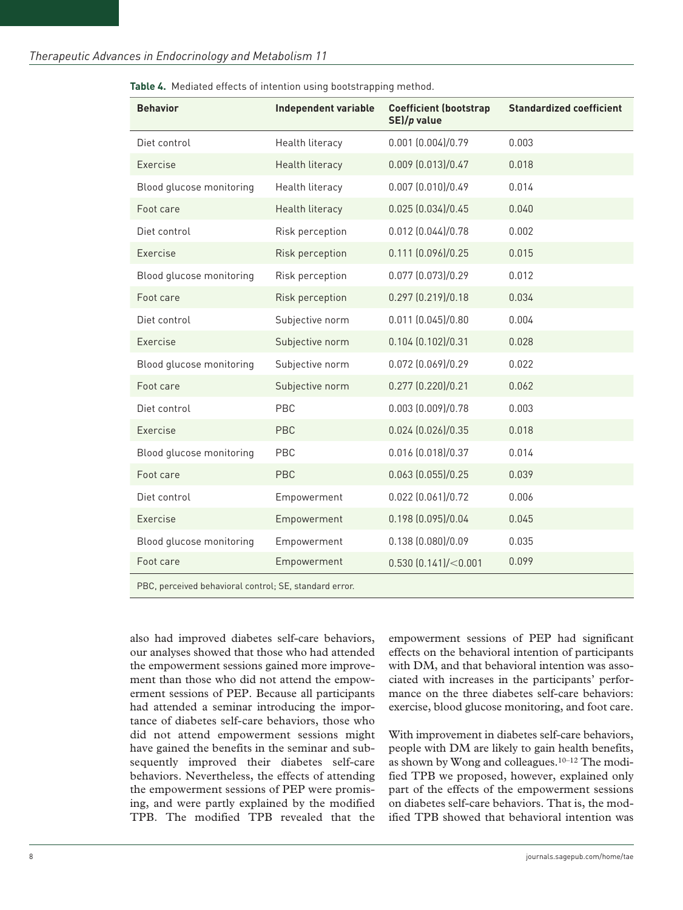| <b>Behavior</b>                                        | <b>Independent variable</b> | <b>Coefficient (bootstrap</b><br>SE)/p value | <b>Standardized coefficient</b> |  |
|--------------------------------------------------------|-----------------------------|----------------------------------------------|---------------------------------|--|
| Diet control                                           | Health literacy             | $0.001$ $(0.004)/0.79$                       | 0.003                           |  |
| Exercise                                               | <b>Health literacy</b>      | $0.009$ $(0.013)/0.47$                       | 0.018                           |  |
| Blood glucose monitoring                               | Health literacy             | $0.007$ $(0.010)/0.49$                       | 0.014                           |  |
| Foot care                                              | Health literacy             | 0.025(0.034)/0.45                            | 0.040                           |  |
| Diet control                                           | Risk perception             | $0.012$ $(0.044)/0.78$                       | 0.002                           |  |
| Exercise                                               | Risk perception             | $0.111$ $(0.096)/0.25$                       | 0.015                           |  |
| Blood glucose monitoring                               | Risk perception             | 0.077 (0.073)/0.29                           | 0.012                           |  |
| Foot care                                              | Risk perception             | 0.297(0.219)/0.18                            | 0.034                           |  |
| Diet control                                           | Subjective norm             | $0.011$ $(0.045)/0.80$                       | 0.004                           |  |
| Exercise                                               | Subjective norm             | 0.104(0.102)/0.31                            | 0.028                           |  |
| Blood glucose monitoring                               | Subjective norm             | 0.072 (0.069)/0.29                           | 0.022                           |  |
| Foot care                                              | Subjective norm             | 0.277 (0.220)/0.21                           | 0.062                           |  |
| Diet control                                           | PBC                         | $0.003$ $(0.009)/0.78$                       | 0.003                           |  |
| Exercise                                               | <b>PBC</b>                  | $0.024$ $(0.026)/0.35$                       | 0.018                           |  |
| Blood glucose monitoring                               | PBC                         | 0.016 (0.018)/0.37                           | 0.014                           |  |
| Foot care                                              | <b>PBC</b>                  | $0.063$ $(0.055)/0.25$                       | 0.039                           |  |
| Diet control                                           | Empowerment                 | 0.022 (0.061)/0.72                           | 0.006                           |  |
| Exercise                                               | Empowerment                 | 0.198 (0.095)/0.04                           | 0.045                           |  |
| Blood glucose monitoring                               | Empowerment                 | 0.138 (0.080)/0.09                           | 0.035                           |  |
| Foot care                                              | Empowerment                 | 0.530(0.141)/<0.001                          | 0.099                           |  |
| PBC, perceived behavioral control; SE, standard error. |                             |                                              |                                 |  |

**Table 4.** Mediated effects of intention using bootstrapping method.

also had improved diabetes self-care behaviors, our analyses showed that those who had attended the empowerment sessions gained more improvement than those who did not attend the empowerment sessions of PEP. Because all participants had attended a seminar introducing the importance of diabetes self-care behaviors, those who did not attend empowerment sessions might have gained the benefits in the seminar and subsequently improved their diabetes self-care behaviors. Nevertheless, the effects of attending the empowerment sessions of PEP were promising, and were partly explained by the modified TPB. The modified TPB revealed that the empowerment sessions of PEP had significant effects on the behavioral intention of participants with DM, and that behavioral intention was associated with increases in the participants' performance on the three diabetes self-care behaviors: exercise, blood glucose monitoring, and foot care.

With improvement in diabetes self-care behaviors, people with DM are likely to gain health benefits, as shown by Wong and colleagues.10–12 The modified TPB we proposed, however, explained only part of the effects of the empowerment sessions on diabetes self-care behaviors. That is, the modified TPB showed that behavioral intention was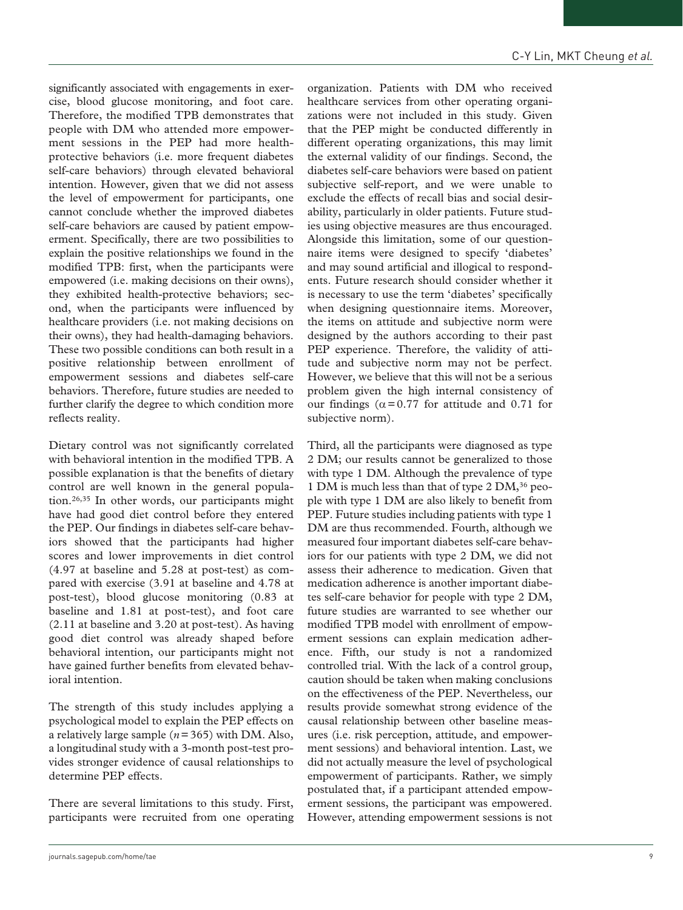significantly associated with engagements in exercise, blood glucose monitoring, and foot care. Therefore, the modified TPB demonstrates that people with DM who attended more empowerment sessions in the PEP had more healthprotective behaviors (i.e. more frequent diabetes self-care behaviors) through elevated behavioral intention. However, given that we did not assess the level of empowerment for participants, one cannot conclude whether the improved diabetes self-care behaviors are caused by patient empowerment. Specifically, there are two possibilities to explain the positive relationships we found in the modified TPB: first, when the participants were empowered (i.e. making decisions on their owns), they exhibited health-protective behaviors; second, when the participants were influenced by healthcare providers (i.e. not making decisions on their owns), they had health-damaging behaviors. These two possible conditions can both result in a positive relationship between enrollment of empowerment sessions and diabetes self-care behaviors. Therefore, future studies are needed to further clarify the degree to which condition more reflects reality.

Dietary control was not significantly correlated with behavioral intention in the modified TPB. A possible explanation is that the benefits of dietary control are well known in the general population.26,35 In other words, our participants might have had good diet control before they entered the PEP. Our findings in diabetes self-care behaviors showed that the participants had higher scores and lower improvements in diet control (4.97 at baseline and 5.28 at post-test) as compared with exercise (3.91 at baseline and 4.78 at post-test), blood glucose monitoring (0.83 at baseline and 1.81 at post-test), and foot care (2.11 at baseline and 3.20 at post-test). As having good diet control was already shaped before behavioral intention, our participants might not have gained further benefits from elevated behavioral intention.

The strength of this study includes applying a psychological model to explain the PEP effects on a relatively large sample (*n*=365) with DM. Also, a longitudinal study with a 3-month post-test provides stronger evidence of causal relationships to determine PEP effects.

There are several limitations to this study. First, participants were recruited from one operating organization. Patients with DM who received healthcare services from other operating organizations were not included in this study. Given that the PEP might be conducted differently in different operating organizations, this may limit the external validity of our findings. Second, the diabetes self-care behaviors were based on patient subjective self-report, and we were unable to exclude the effects of recall bias and social desirability, particularly in older patients. Future studies using objective measures are thus encouraged. Alongside this limitation, some of our questionnaire items were designed to specify 'diabetes' and may sound artificial and illogical to respondents. Future research should consider whether it is necessary to use the term 'diabetes' specifically when designing questionnaire items. Moreover, the items on attitude and subjective norm were designed by the authors according to their past PEP experience. Therefore, the validity of attitude and subjective norm may not be perfect. However, we believe that this will not be a serious problem given the high internal consistency of our findings ( $\alpha$ =0.77 for attitude and 0.71 for

subjective norm).

Third, all the participants were diagnosed as type 2 DM; our results cannot be generalized to those with type 1 DM. Although the prevalence of type 1 DM is much less than that of type 2 DM,<sup>36</sup> people with type 1 DM are also likely to benefit from PEP. Future studies including patients with type 1 DM are thus recommended. Fourth, although we measured four important diabetes self-care behaviors for our patients with type 2 DM, we did not assess their adherence to medication. Given that medication adherence is another important diabetes self-care behavior for people with type 2 DM, future studies are warranted to see whether our modified TPB model with enrollment of empowerment sessions can explain medication adherence. Fifth, our study is not a randomized controlled trial. With the lack of a control group, caution should be taken when making conclusions on the effectiveness of the PEP. Nevertheless, our results provide somewhat strong evidence of the causal relationship between other baseline measures (i.e. risk perception, attitude, and empowerment sessions) and behavioral intention. Last, we did not actually measure the level of psychological empowerment of participants. Rather, we simply postulated that, if a participant attended empowerment sessions, the participant was empowered. However, attending empowerment sessions is not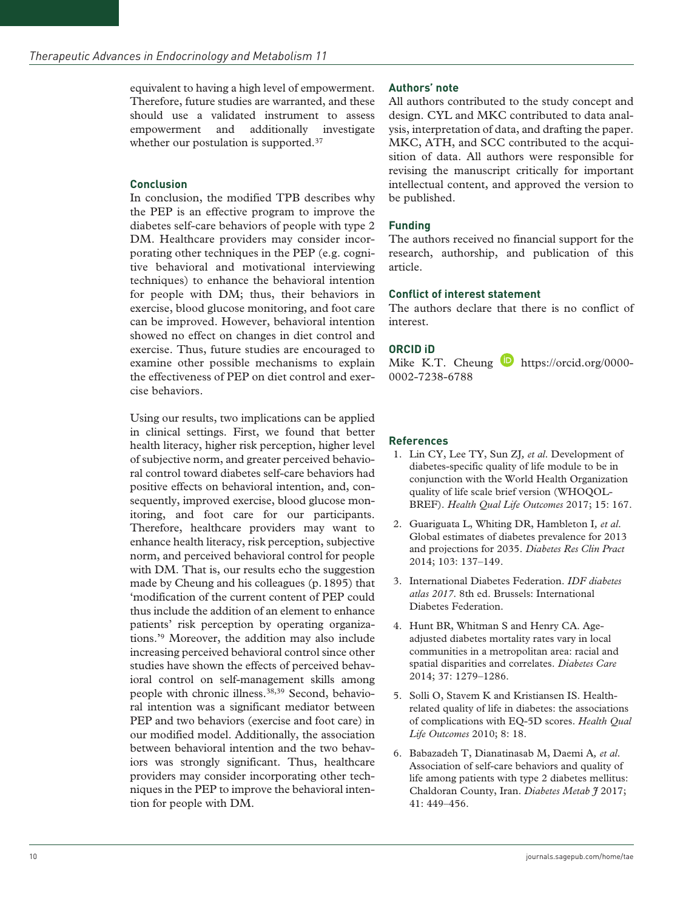equivalent to having a high level of empowerment. Therefore, future studies are warranted, and these should use a validated instrument to assess empowerment and additionally investigate whether our postulation is supported.<sup>37</sup>

### **Conclusion**

In conclusion, the modified TPB describes why the PEP is an effective program to improve the diabetes self-care behaviors of people with type 2 DM. Healthcare providers may consider incorporating other techniques in the PEP (e.g. cognitive behavioral and motivational interviewing techniques) to enhance the behavioral intention for people with DM; thus, their behaviors in exercise, blood glucose monitoring, and foot care can be improved. However, behavioral intention showed no effect on changes in diet control and exercise. Thus, future studies are encouraged to examine other possible mechanisms to explain the effectiveness of PEP on diet control and exercise behaviors.

Using our results, two implications can be applied in clinical settings. First, we found that better health literacy, higher risk perception, higher level of subjective norm, and greater perceived behavioral control toward diabetes self-care behaviors had positive effects on behavioral intention, and, consequently, improved exercise, blood glucose monitoring, and foot care for our participants. Therefore, healthcare providers may want to enhance health literacy, risk perception, subjective norm, and perceived behavioral control for people with DM. That is, our results echo the suggestion made by Cheung and his colleagues (p.1895) that 'modification of the current content of PEP could thus include the addition of an element to enhance patients' risk perception by operating organizations.'9 Moreover, the addition may also include increasing perceived behavioral control since other studies have shown the effects of perceived behavioral control on self-management skills among people with chronic illness.38,39 Second, behavioral intention was a significant mediator between PEP and two behaviors (exercise and foot care) in our modified model. Additionally, the association between behavioral intention and the two behaviors was strongly significant. Thus, healthcare providers may consider incorporating other techniques in the PEP to improve the behavioral intention for people with DM.

### **Authors' note**

All authors contributed to the study concept and design. CYL and MKC contributed to data analysis, interpretation of data, and drafting the paper. MKC, ATH, and SCC contributed to the acquisition of data. All authors were responsible for revising the manuscript critically for important intellectual content, and approved the version to be published.

## **Funding**

The authors received no financial support for the research, authorship, and publication of this article.

### **Conflict of interest statement**

The authors declare that there is no conflict of interest.

## **ORCID iD**

Mike K.T. Cheung  $\bullet$  [https://orcid.org/0000-](https://orcid.org/0000-0002-7238-6788) [0002-7238-6788](https://orcid.org/0000-0002-7238-6788)

## **References**

- 1. Lin CY, Lee TY, Sun ZJ*, et al*. Development of diabetes-specific quality of life module to be in conjunction with the World Health Organization quality of life scale brief version (WHOQOL-BREF). *Health Qual Life Outcomes* 2017; 15: 167.
- 2. Guariguata L, Whiting DR, Hambleton I*, et al*. Global estimates of diabetes prevalence for 2013 and projections for 2035. *Diabetes Res Clin Pract* 2014; 103: 137–149.
- 3. International Diabetes Federation. *IDF diabetes atlas 2017*. 8th ed. Brussels: International Diabetes Federation.
- 4. Hunt BR, Whitman S and Henry CA. Ageadjusted diabetes mortality rates vary in local communities in a metropolitan area: racial and spatial disparities and correlates. *Diabetes Care* 2014; 37: 1279–1286.
- 5. Solli O, Stavem K and Kristiansen IS. Healthrelated quality of life in diabetes: the associations of complications with EQ-5D scores. *Health Qual Life Outcomes* 2010; 8: 18.
- 6. Babazadeh T, Dianatinasab M, Daemi A*, et al*. Association of self-care behaviors and quality of life among patients with type 2 diabetes mellitus: Chaldoran County, Iran. *Diabetes Metab J* 2017; 41: 449–456.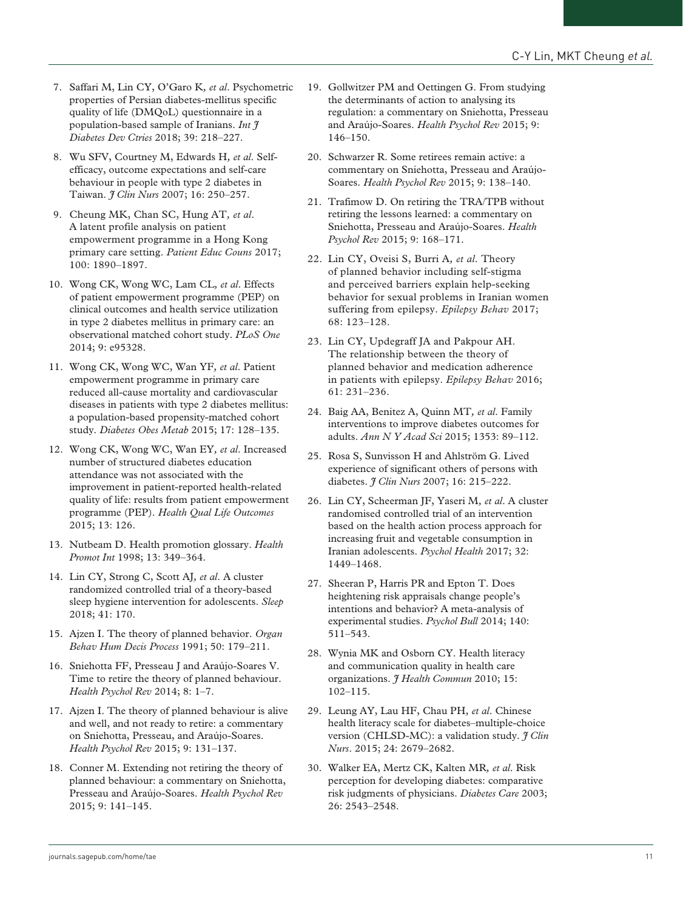- 7. Saffari M, Lin CY, O'Garo K*, et al*. Psychometric properties of Persian diabetes-mellitus specific quality of life (DMQoL) questionnaire in a population-based sample of Iranians. *Int J Diabetes Dev Ctries* 2018; 39: 218–227.
- 8. Wu SFV, Courtney M, Edwards H*, et al*. Selfefficacy, outcome expectations and self-care behaviour in people with type 2 diabetes in Taiwan. *J Clin Nurs* 2007; 16: 250–257.
- 9. Cheung MK, Chan SC, Hung AT*, et al*. A latent profile analysis on patient empowerment programme in a Hong Kong primary care setting. *Patient Educ Couns* 2017; 100: 1890–1897.
- 10. Wong CK, Wong WC, Lam CL*, et al*. Effects of patient empowerment programme (PEP) on clinical outcomes and health service utilization in type 2 diabetes mellitus in primary care: an observational matched cohort study. *PLoS One* 2014; 9: e95328.
- 11. Wong CK, Wong WC, Wan YF*, et al*. Patient empowerment programme in primary care reduced all-cause mortality and cardiovascular diseases in patients with type 2 diabetes mellitus: a population-based propensity-matched cohort study. *Diabetes Obes Metab* 2015; 17: 128–135.
- 12. Wong CK, Wong WC, Wan EY*, et al*. Increased number of structured diabetes education attendance was not associated with the improvement in patient-reported health-related quality of life: results from patient empowerment programme (PEP). *Health Qual Life Outcomes* 2015; 13: 126.
- 13. Nutbeam D. Health promotion glossary. *Health Promot Int* 1998; 13: 349–364.
- 14. Lin CY, Strong C, Scott AJ*, et al*. A cluster randomized controlled trial of a theory-based sleep hygiene intervention for adolescents. *Sleep* 2018; 41: 170.
- 15. Ajzen I. The theory of planned behavior. *Organ Behav Hum Decis Process* 1991; 50: 179–211.
- 16. Sniehotta FF, Presseau J and Araújo-Soares V. Time to retire the theory of planned behaviour. *Health Psychol Rev* 2014; 8: 1–7.
- 17. Ajzen I. The theory of planned behaviour is alive and well, and not ready to retire: a commentary on Sniehotta, Presseau, and Araújo-Soares. *Health Psychol Rev* 2015; 9: 131–137.
- 18. Conner M. Extending not retiring the theory of planned behaviour: a commentary on Sniehotta, Presseau and Araújo-Soares. *Health Psychol Rev* 2015; 9: 141–145.
- 19. Gollwitzer PM and Oettingen G. From studying the determinants of action to analysing its regulation: a commentary on Sniehotta, Presseau and Araújo-Soares. *Health Psychol Rev* 2015; 9: 146–150.
- 20. Schwarzer R. Some retirees remain active: a commentary on Sniehotta, Presseau and Araújo-Soares. *Health Psychol Rev* 2015; 9: 138–140.
- 21. Trafimow D. On retiring the TRA/TPB without retiring the lessons learned: a commentary on Sniehotta, Presseau and Araújo-Soares. *Health Psychol Rev* 2015; 9: 168–171.
- 22. Lin CY, Oveisi S, Burri A*, et al*. Theory of planned behavior including self-stigma and perceived barriers explain help-seeking behavior for sexual problems in Iranian women suffering from epilepsy. *Epilepsy Behav* 2017; 68: 123–128.
- 23. Lin CY, Updegraff JA and Pakpour AH. The relationship between the theory of planned behavior and medication adherence in patients with epilepsy. *Epilepsy Behav* 2016; 61: 231–236.
- 24. Baig AA, Benitez A, Quinn MT*, et al*. Family interventions to improve diabetes outcomes for adults. *Ann N Y Acad Sci* 2015; 1353: 89–112.
- 25. Rosa S, Sunvisson H and Ahlström G. Lived experience of significant others of persons with diabetes. *J Clin Nurs* 2007; 16: 215–222.
- 26. Lin CY, Scheerman JF, Yaseri M*, et al*. A cluster randomised controlled trial of an intervention based on the health action process approach for increasing fruit and vegetable consumption in Iranian adolescents. *Psychol Health* 2017; 32: 1449–1468.
- 27. Sheeran P, Harris PR and Epton T. Does heightening risk appraisals change people's intentions and behavior? A meta-analysis of experimental studies. *Psychol Bull* 2014; 140: 511–543.
- 28. Wynia MK and Osborn CY. Health literacy and communication quality in health care organizations. *J Health Commun* 2010; 15: 102–115.
- 29. Leung AY, Lau HF, Chau PH*, et al*. Chinese health literacy scale for diabetes–multiple-choice version (CHLSD-MC): a validation study. *J Clin Nurs*. 2015; 24: 2679–2682.
- 30. Walker EA, Mertz CK, Kalten MR*, et al*. Risk perception for developing diabetes: comparative risk judgments of physicians. *Diabetes Care* 2003; 26: 2543–2548.